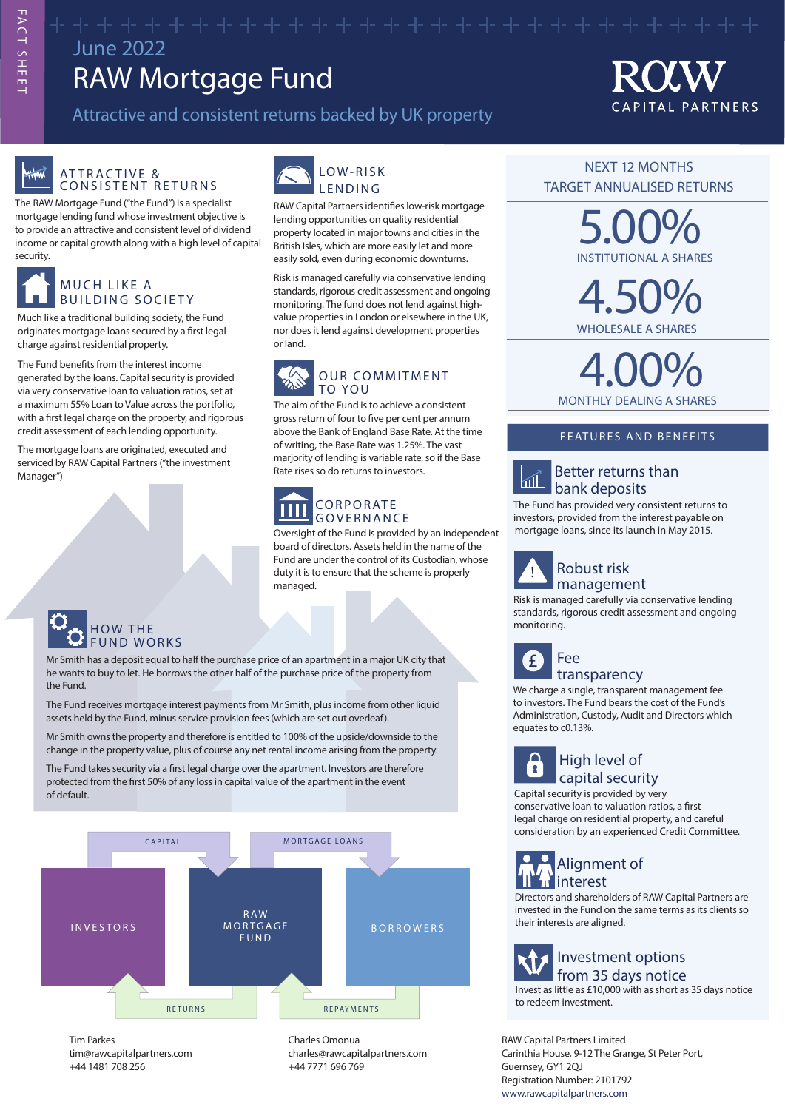# RAW Mortgage Fund

Attractive and consistent returns backed by UK property

# CAPITAL PARTNERS

#### Attent ATTRACTIVE & CONSISTENT RETURNS

The RAW Mortgage Fund ("the Fund") is a specialist mortgage lending fund whose investment objective is to provide an attractive and consistent level of dividend income or capital growth along with a high level of capital security.

# MUCH LIKE A **BUILDING SOCIETY**

Much like a traditional building society, the Fund originates mortgage loans secured by a first legal charge against residential property.

The Fund benefits from the interest income generated by the loans. Capital security is provided via very conservative loan to valuation ratios, set at a maximum 55% Loan to Value across the portfolio, with a first legal charge on the property, and rigorous credit assessment of each lending opportunity.

The mortgage loans are originated, executed and serviced by RAW Capital Partners ("the investment Manager")



RAW Capital Partners identifies low-risk mortgage lending opportunities on quality residential property located in major towns and cities in the British Isles, which are more easily let and more easily sold, even during economic downturns.

Risk is managed carefully via conservative lending standards, rigorous credit assessment and ongoing monitoring. The fund does not lend against highvalue properties in London or elsewhere in the UK, nor does it lend against development properties or land.

### **OUR COMMITMENT** TO YOU

The aim of the Fund is to achieve a consistent gross return of four to five per cent per annum above the Bank of England Base Rate. At the time of writing, the Base Rate was 1.25%. The vast marjority of lending is variable rate, so if the Base Rate rises so do returns to investors.

# **CORPORATE** GOVERNANCE

Oversight of the Fund is provided by an independent board of directors. Assets held in the name of the Fund are under the control of its Custodian, whose duty it is to ensure that the scheme is properly managed.

# HOW THE FUND WORKS

Mr Smith has a deposit equal to half the purchase price of an apartment in a major UK city that he wants to buy to let. He borrows the other half of the purchase price of the property from the Fund.

The Fund receives mortgage interest payments from Mr Smith, plus income from other liquid assets held by the Fund, minus service provision fees (which are set out overleaf).

Mr Smith owns the property and therefore is entitled to 100% of the upside/downside to the change in the property value, plus of course any net rental income arising from the property.

The Fund takes security via a first legal charge over the apartment. Investors are therefore protected from the first 50% of any loss in capital value of the apartment in the event of default.



Tim Parkes tim@rawcapitalpartners.com +44 1481 708 256

Charles Omonua charles@rawcapitalpartners.com +44 7771 696 769

# NEXT 12 MONTHS TARGET ANNUALISED RETURNS

**5.00%** INSTITUTIONAL A SHARES

4.50% WHOLESALE A SHARES

# MONTHLY DEALING A SHARES 4.00%

#### FEATURES AND BENEFITS

#### Better returns than  $\sqrt{1}$ bank deposits

The Fund has provided very consistent returns to investors, provided from the interest payable on mortgage loans, since its launch in May 2015.



Risk is managed carefully via conservative lending standards, rigorous credit assessment and ongoing monitoring.



We charge a single, transparent management fee to investors. The Fund bears the cost of the Fund's Administration, Custody, Audit and Directors which equates to c0.13%.



Capital security is provided by very capital security

conservative loan to valuation ratios, a first legal charge on residential property, and careful consideration by an experienced Credit Committee.



Directors and shareholders of RAW Capital Partners are invested in the Fund on the same terms as its clients so their interests are aligned.

Invest as little as £10,000 with as short as 35 days notice to redeem investment. Investment options from 35 days notice

RAW Capital Partners Limited Carinthia House, 9-12 The Grange, St Peter Port, Guernsey, GY1 2QJ Registration Number: 2101792 www.rawcapitalpartners.com

 $\overline{\phantom{a}}$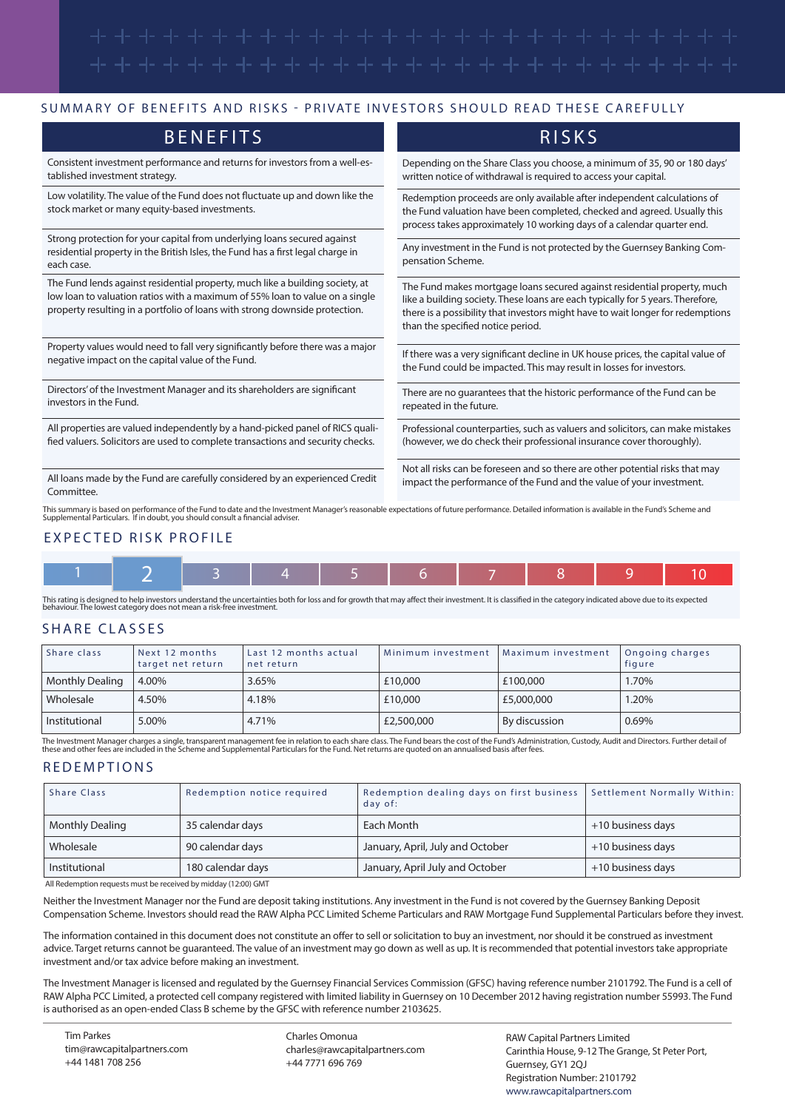#### SUMMARY OF BENFEITS AND RISKS - PRIVATE INVESTORS SHOULD READ THESE CAREFULLY

| <b>BENEFITS</b>                                                                                                                                                                                                                              | <b>RISKS</b>                                                                                                                                                                                                                                                                        |
|----------------------------------------------------------------------------------------------------------------------------------------------------------------------------------------------------------------------------------------------|-------------------------------------------------------------------------------------------------------------------------------------------------------------------------------------------------------------------------------------------------------------------------------------|
| Consistent investment performance and returns for investors from a well-es-                                                                                                                                                                  | Depending on the Share Class you choose, a minimum of 35, 90 or 180 days'                                                                                                                                                                                                           |
| tablished investment strategy.                                                                                                                                                                                                               | written notice of withdrawal is required to access your capital.                                                                                                                                                                                                                    |
| Low volatility. The value of the Fund does not fluctuate up and down like the<br>stock market or many equity-based investments.                                                                                                              | Redemption proceeds are only available after independent calculations of<br>the Fund valuation have been completed, checked and agreed. Usually this<br>process takes approximately 10 working days of a calendar quarter end.                                                      |
| Strong protection for your capital from underlying loans secured against<br>residential property in the British Isles, the Fund has a first legal charge in<br>each case.                                                                    | Any investment in the Fund is not protected by the Guernsey Banking Com-<br>pensation Scheme.                                                                                                                                                                                       |
| The Fund lends against residential property, much like a building society, at<br>low loan to valuation ratios with a maximum of 55% loan to value on a single<br>property resulting in a portfolio of loans with strong downside protection. | The Fund makes mortgage loans secured against residential property, much<br>like a building society. These loans are each typically for 5 years. Therefore,<br>there is a possibility that investors might have to wait longer for redemptions<br>than the specified notice period. |
| Property values would need to fall very significantly before there was a major                                                                                                                                                               | If there was a very significant decline in UK house prices, the capital value of                                                                                                                                                                                                    |
| negative impact on the capital value of the Fund.                                                                                                                                                                                            | the Fund could be impacted. This may result in losses for investors.                                                                                                                                                                                                                |
| Directors' of the Investment Manager and its shareholders are significant                                                                                                                                                                    | There are no quarantees that the historic performance of the Fund can be                                                                                                                                                                                                            |
| investors in the Fund.                                                                                                                                                                                                                       | repeated in the future.                                                                                                                                                                                                                                                             |
| All properties are valued independently by a hand-picked panel of RICS quali-                                                                                                                                                                | Professional counterparties, such as valuers and solicitors, can make mistakes                                                                                                                                                                                                      |
| fied valuers. Solicitors are used to complete transactions and security checks.                                                                                                                                                              | (however, we do check their professional insurance cover thoroughly).                                                                                                                                                                                                               |
| All loans made by the Fund are carefully considered by an experienced Credit                                                                                                                                                                 | Not all risks can be foreseen and so there are other potential risks that may                                                                                                                                                                                                       |
| Committee.                                                                                                                                                                                                                                   | impact the performance of the Fund and the value of your investment.                                                                                                                                                                                                                |

This summary is based on performance of the Fund to date and the Investment Manager's reasonable expectations of future performance. Detailed information is available in the Fund's Scheme and<br>Supplemental Particulars. If i

## EXPECTED RISK PROFILE

This rating is designed to help investors understand the uncertainties both for loss and for growth that may affect their investment. It is classified in the category indicated above due to its expected<br>behaviour. The lowe

#### SHARE CLASSES

| Share class            | Next 12 months<br>target net return | Last 12 months actual<br>net return | Minimum investment | Maximum investment   | Ongoing charges<br>figure |
|------------------------|-------------------------------------|-------------------------------------|--------------------|----------------------|---------------------------|
| <b>Monthly Dealing</b> | 4.00%                               | 3.65%                               | £10,000            | £100,000             | 1.70%                     |
| Wholesale              | 4.50%                               | 4.18%                               | £10,000            | £5,000,000           | 1.20%                     |
| Institutional          | 5.00%                               | 4.71%                               | £2,500,000         | <b>By discussion</b> | 0.69%                     |

The Investment Manager charges a single, transparent management fee in relation to each share class. The Fund bears the cost of the Fund's Administration, Custody, Audit and Directors. Further detail of<br>these and other fee

#### REDEMPTIONS

| <b>Share Class</b> | Redemption notice required | Redemption dealing days on first business<br>day of: | Settlement Normally Within: |
|--------------------|----------------------------|------------------------------------------------------|-----------------------------|
| Monthly Dealing    | 35 calendar days           | Each Month                                           | +10 business days           |
| Wholesale          | 90 calendar days           | January, April, July and October                     | +10 business days           |
| Institutional      | 180 calendar days          | January, April July and October                      | +10 business days           |

All Redemption requests must be received by midday (12:00) GMT

Neither the Investment Manager nor the Fund are deposit taking institutions. Any investment in the Fund is not covered by the Guernsey Banking Deposit Compensation Scheme. Investors should read the RAW Alpha PCC Limited Scheme Particulars and RAW Mortgage Fund Supplemental Particulars before they invest.

The information contained in this document does not constitute an offer to sell or solicitation to buy an investment, nor should it be construed as investment advice. Target returns cannot be guaranteed. The value of an investment may go down as well as up. It is recommended that potential investors take appropriate investment and/or tax advice before making an investment.

The Investment Manager is licensed and regulated by the Guernsey Financial Services Commission (GFSC) having reference number 2101792. The Fund is a cell of RAW Alpha PCC Limited, a protected cell company registered with limited liability in Guernsey on 10 December 2012 having registration number 55993. The Fund is authorised as an open-ended Class B scheme by the GFSC with reference number 2103625.

Tim Parkes tim@rawcapitalpartners.com +44 1481 708 256

Charles Omonua charles@rawcapitalpartners.com +44 7771 696 769

RAW Capital Partners Limited Carinthia House, 9-12 The Grange, St Peter Port, Guernsey, GY1 2QJ Registration Number: 2101792 www.rawcapitalpartners.com